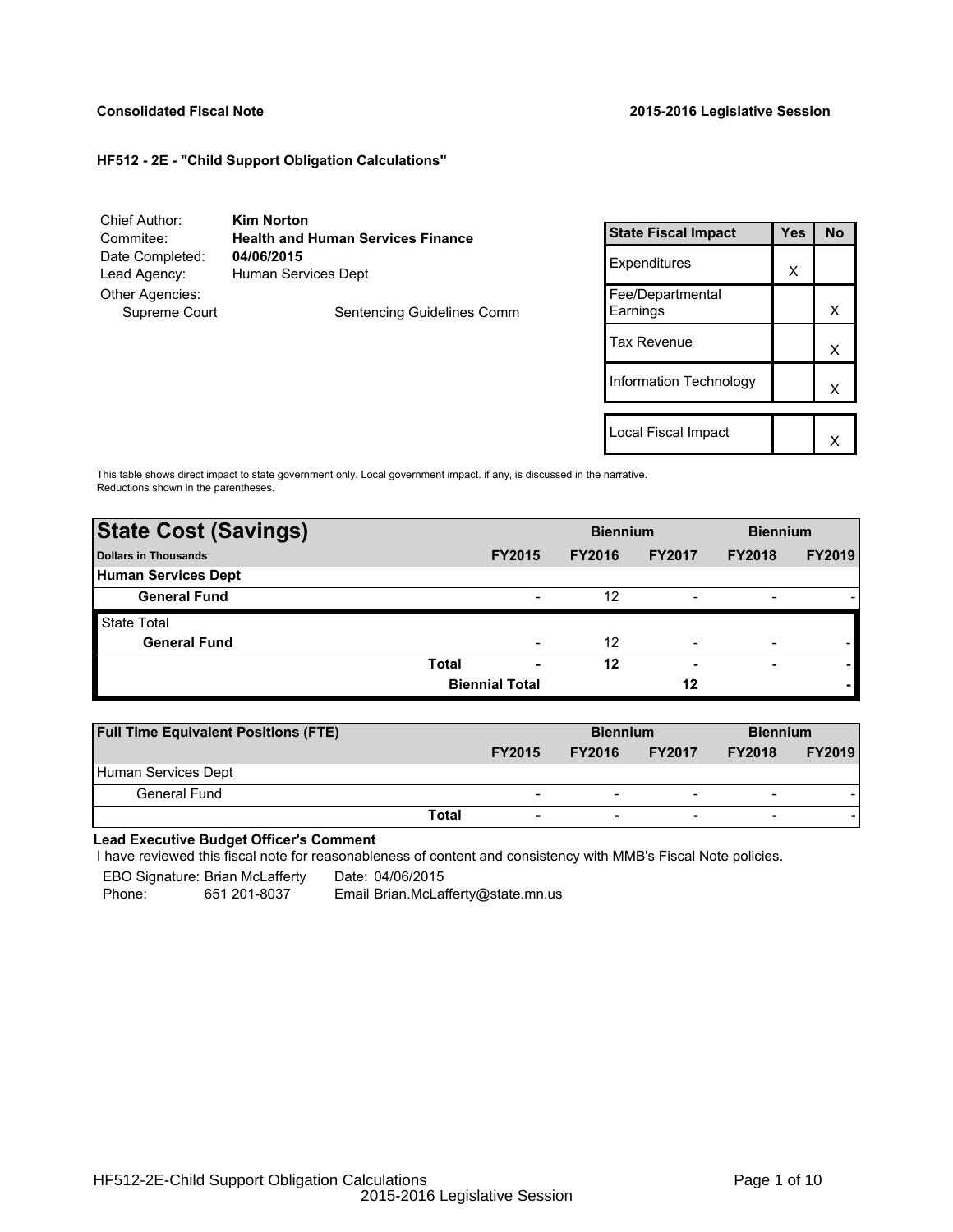# **Consolidated Fiscal Note 2015-2016 Legislative Session**

# **HF512 - 2E - "Child Support Obligation Calculations"**

| Chief Author:   | <b>Kim Norton</b>                        |                   |
|-----------------|------------------------------------------|-------------------|
| Commitee:       | <b>Health and Human Services Finance</b> | <b>State F</b>    |
| Date Completed: | 04/06/2015                               | Expend            |
| Lead Agency:    | Human Services Dept                      |                   |
| Other Agencies: |                                          | Fee/De<br>Earning |
| Supreme Court   | Sentencing Guidelines Comm               |                   |
|                 |                                          | Tax Rey           |
|                 |                                          |                   |

| <b>State Fiscal Impact</b>   | Yes | <b>No</b> |
|------------------------------|-----|-----------|
| Expenditures                 | X   |           |
| Fee/Departmental<br>Earnings |     | х         |
| <b>Tax Revenue</b>           |     | x         |
| Information Technology       |     | x         |
|                              |     |           |
| Local Fiscal Impact          |     |           |

This table shows direct impact to state government only. Local government impact. if any, is discussed in the narrative. Reductions shown in the parentheses.

| <b>State Cost (Savings)</b> |              | <b>Biennium</b>       |               |                          | <b>Biennium</b>          |               |
|-----------------------------|--------------|-----------------------|---------------|--------------------------|--------------------------|---------------|
| Dollars in Thousands        |              | <b>FY2015</b>         | <b>FY2016</b> | <b>FY2017</b>            | <b>FY2018</b>            | <b>FY2019</b> |
| Human Services Dept         |              |                       |               |                          |                          |               |
| <b>General Fund</b>         |              |                       | 12            |                          | $\overline{\phantom{a}}$ |               |
| <b>State Total</b>          |              |                       |               |                          |                          |               |
| <b>General Fund</b>         |              |                       | 12            | $\overline{\phantom{0}}$ | $\overline{\phantom{a}}$ |               |
|                             | <b>Total</b> | ۰                     | 12            | $\overline{\phantom{0}}$ | $\blacksquare$           |               |
|                             |              | <b>Biennial Total</b> |               | 12                       |                          |               |

| <b>Full Time Equivalent Positions (FTE)</b> |                          | <b>Biennium</b> |                          | <b>Biennium</b>          |               |
|---------------------------------------------|--------------------------|-----------------|--------------------------|--------------------------|---------------|
|                                             | <b>FY2015</b>            | <b>FY2016</b>   | <b>FY2017</b>            | <b>FY2018</b>            | <b>FY2019</b> |
| Human Services Dept                         |                          |                 |                          |                          |               |
| General Fund                                | $\overline{\phantom{0}}$ | -               | $\overline{\phantom{a}}$ | $\overline{\phantom{0}}$ |               |
| Total                                       | $\overline{\phantom{a}}$ | ۰               | $\overline{\phantom{0}}$ |                          |               |

**Lead Executive Budget Officer's Comment**

-

I have reviewed this fiscal note for reasonableness of content and consistency with MMB's Fiscal Note policies.

EBO Signature: Brian McLafferty Date: 04/06/2015

Phone: 651 201-8037 Email Brian.McLafferty@state.mn.us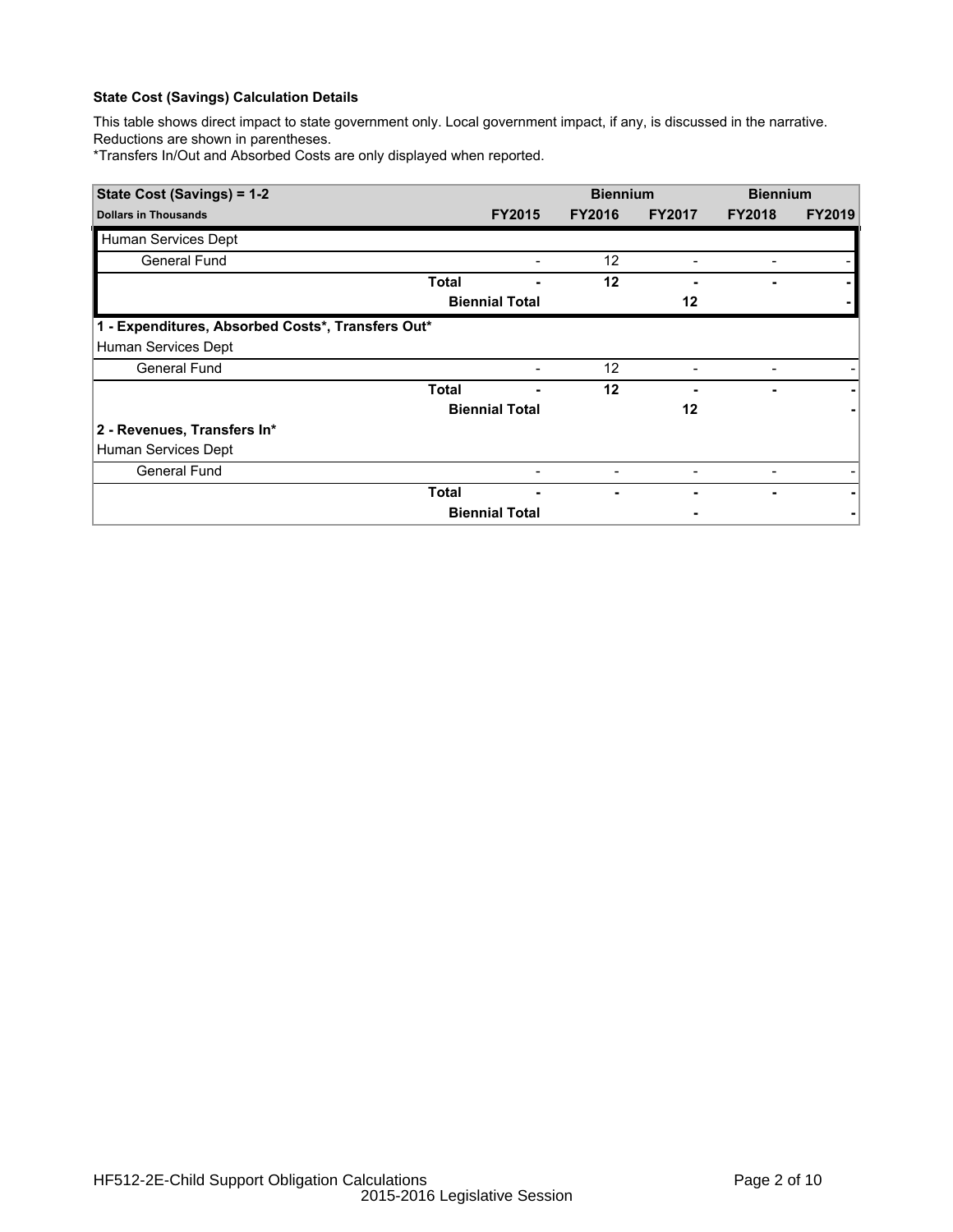This table shows direct impact to state government only. Local government impact, if any, is discussed in the narrative. Reductions are shown in parentheses.

\*Transfers In/Out and Absorbed Costs are only displayed when reported.

| State Cost (Savings) = 1-2                        |              | <b>Biennium</b>          |               | <b>Biennium</b>          |                          |               |
|---------------------------------------------------|--------------|--------------------------|---------------|--------------------------|--------------------------|---------------|
| <b>Dollars in Thousands</b>                       |              | <b>FY2015</b>            | <b>FY2016</b> | <b>FY2017</b>            | <b>FY2018</b>            | <b>FY2019</b> |
| Human Services Dept                               |              |                          |               |                          |                          |               |
| General Fund                                      |              |                          | 12            |                          |                          |               |
|                                                   | Total        |                          | 12            |                          |                          |               |
|                                                   |              | <b>Biennial Total</b>    |               | 12                       |                          |               |
| 1 - Expenditures, Absorbed Costs*, Transfers Out* |              |                          |               |                          |                          |               |
| Human Services Dept                               |              |                          |               |                          |                          |               |
| <b>General Fund</b>                               |              |                          | 12            |                          | -                        |               |
|                                                   | <b>Total</b> |                          | 12            |                          |                          |               |
|                                                   |              | <b>Biennial Total</b>    |               | 12                       |                          |               |
| 2 - Revenues, Transfers In*                       |              |                          |               |                          |                          |               |
| Human Services Dept                               |              |                          |               |                          |                          |               |
| <b>General Fund</b>                               |              | $\overline{\phantom{0}}$ | -             | $\overline{\phantom{a}}$ | $\overline{\phantom{a}}$ |               |
|                                                   | <b>Total</b> |                          |               |                          |                          |               |
|                                                   |              | <b>Biennial Total</b>    |               |                          |                          |               |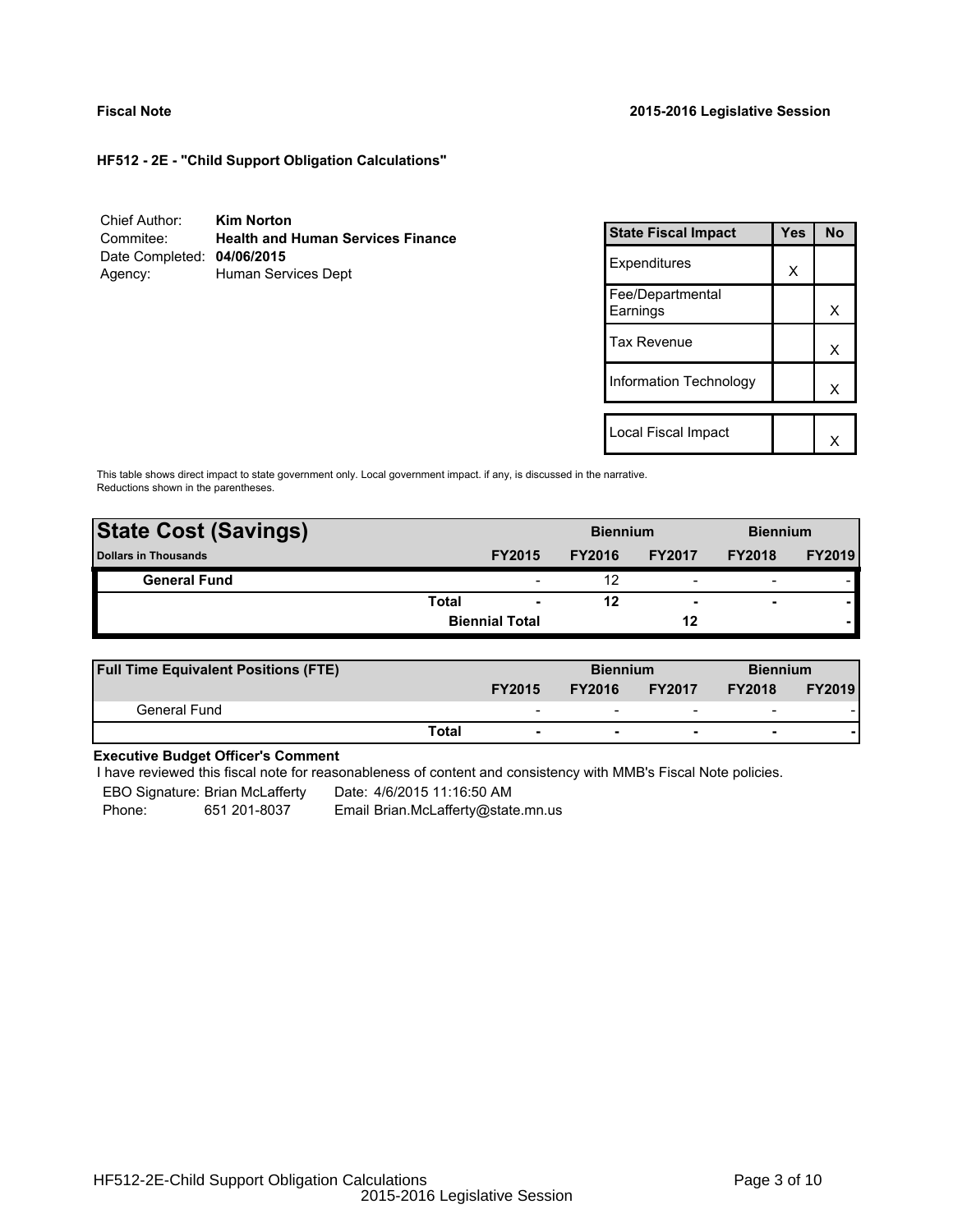**HF512 - 2E - "Child Support Obligation Calculations"**

| Chief Author:              | <b>Kim Norton</b>                        |
|----------------------------|------------------------------------------|
| Commitee:                  | <b>Health and Human Services Finance</b> |
| Date Completed: 04/06/2015 |                                          |
| Agency:                    | Human Services Dept                      |

| <b>State Fiscal Impact</b>   | Yes | N٥ |
|------------------------------|-----|----|
| Expenditures                 | X   |    |
| Fee/Departmental<br>Earnings |     | x  |
| <b>Tax Revenue</b>           |     | x  |
| Information Technology       |     | x  |
|                              |     |    |
| Local Fiscal Impact          |     |    |

This table shows direct impact to state government only. Local government impact. if any, is discussed in the narrative. Reductions shown in the parentheses.

| <b>State Cost (Savings)</b> |       | <b>Biennium</b>          |               |                          | <b>Biennium</b>          |               |
|-----------------------------|-------|--------------------------|---------------|--------------------------|--------------------------|---------------|
| <b>Dollars in Thousands</b> |       | <b>FY2015</b>            | <b>FY2016</b> | <b>FY2017</b>            | <b>FY2018</b>            | <b>FY2019</b> |
| <b>General Fund</b>         |       |                          | 12            | $\overline{\phantom{0}}$ | $\overline{\phantom{0}}$ |               |
|                             | Total | $\overline{\phantom{0}}$ | 12            | $\overline{\phantom{0}}$ | $\overline{\phantom{0}}$ |               |
|                             |       | <b>Biennial Total</b>    |               | 12                       |                          |               |
|                             |       |                          |               |                          |                          |               |

| <b>Full Time Equivalent Positions (FTE)</b> |       |                          | <b>Biennium</b> |                          | <b>Biennium</b>          |               |
|---------------------------------------------|-------|--------------------------|-----------------|--------------------------|--------------------------|---------------|
|                                             |       | <b>FY2015</b>            | <b>FY2016</b>   | <b>FY2017</b>            | <b>FY2018</b>            | <b>FY2019</b> |
| General Fund                                |       | $\overline{\phantom{a}}$ |                 | $\overline{\phantom{0}}$ | $\overline{\phantom{0}}$ |               |
|                                             | Total |                          |                 | $\overline{\phantom{0}}$ |                          |               |

# **Executive Budget Officer's Comment**

I have reviewed this fiscal note for reasonableness of content and consistency with MMB's Fiscal Note policies.

EBO Signature: Brian McLafferty Date: 4/6/2015 11:16:50 AM Phone: 651 201-8037 Email Brian.McLafferty@state.mn.us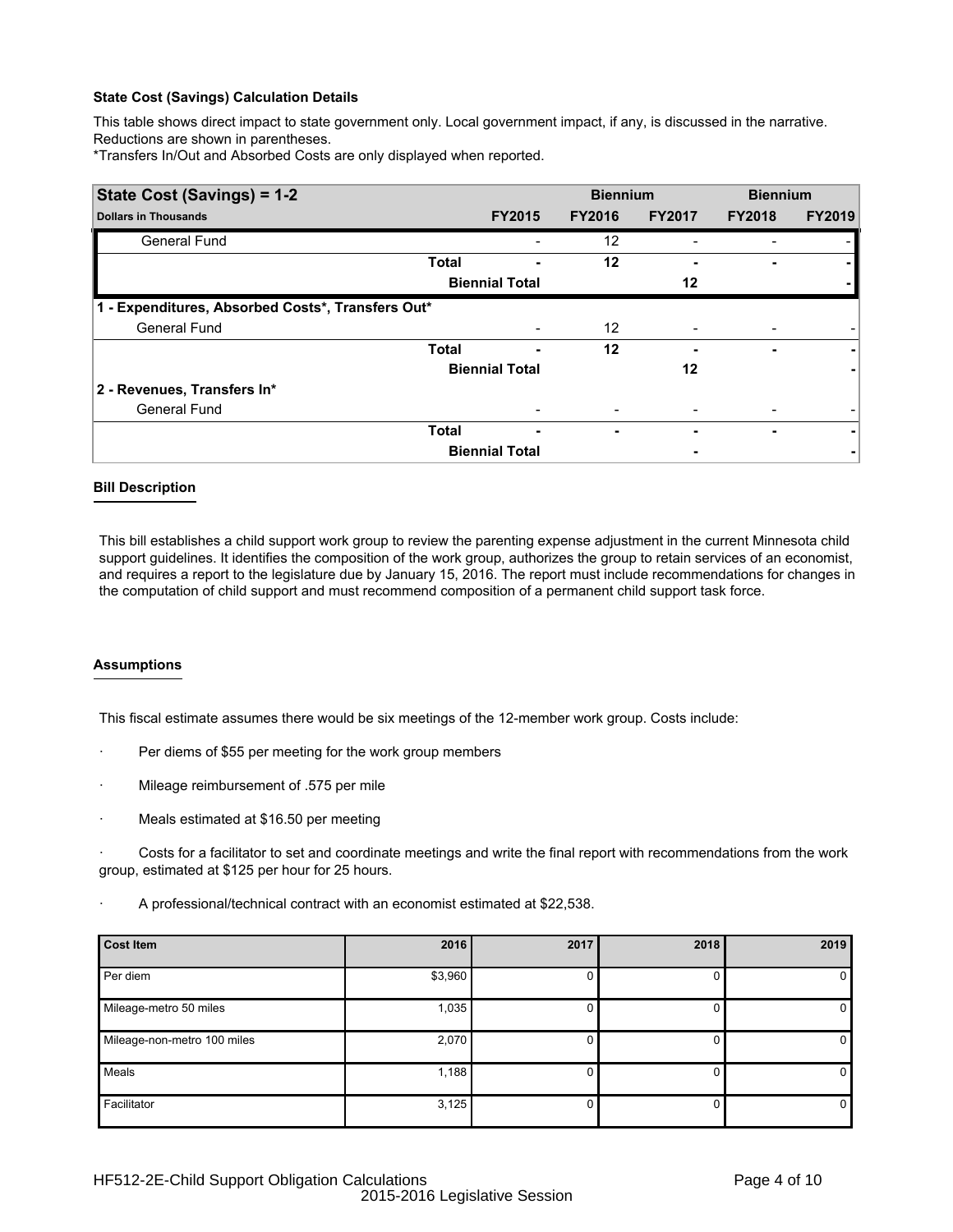This table shows direct impact to state government only. Local government impact, if any, is discussed in the narrative. Reductions are shown in parentheses.

\*Transfers In/Out and Absorbed Costs are only displayed when reported.

| State Cost (Savings) = 1-2                        |              | <b>Biennium</b>       |               | <b>Biennium</b> |                          |               |
|---------------------------------------------------|--------------|-----------------------|---------------|-----------------|--------------------------|---------------|
| <b>Dollars in Thousands</b>                       |              | <b>FY2015</b>         | <b>FY2016</b> | <b>FY2017</b>   | <b>FY2018</b>            | <b>FY2019</b> |
| <b>General Fund</b>                               |              |                       | 12            |                 |                          |               |
|                                                   | <b>Total</b> |                       | 12            |                 |                          |               |
|                                                   |              | <b>Biennial Total</b> |               | 12              |                          |               |
| 1 - Expenditures, Absorbed Costs*, Transfers Out* |              |                       |               |                 |                          |               |
| <b>General Fund</b>                               |              |                       | 12            |                 |                          |               |
|                                                   | <b>Total</b> | ۰                     | 12            |                 | ٠                        |               |
|                                                   |              | <b>Biennial Total</b> |               | 12              |                          |               |
| 2 - Revenues, Transfers In*                       |              |                       |               |                 |                          |               |
| <b>General Fund</b>                               |              |                       |               |                 |                          |               |
|                                                   | <b>Total</b> | ۰                     | ۰             |                 | $\overline{\phantom{0}}$ |               |
|                                                   |              | <b>Biennial Total</b> |               |                 |                          |               |

## **Bill Description**

This bill establishes a child support work group to review the parenting expense adjustment in the current Minnesota child support guidelines. It identifies the composition of the work group, authorizes the group to retain services of an economist, and requires a report to the legislature due by January 15, 2016. The report must include recommendations for changes in the computation of child support and must recommend composition of a permanent child support task force.

## **Assumptions**

This fiscal estimate assumes there would be six meetings of the 12-member work group. Costs include:

- Per diems of \$55 per meeting for the work group members
- · Mileage reimbursement of .575 per mile
- Meals estimated at \$16.50 per meeting

Costs for a facilitator to set and coordinate meetings and write the final report with recommendations from the work group, estimated at \$125 per hour for 25 hours.

· A professional/technical contract with an economist estimated at \$22,538.

| <b>Cost Item</b>            | 2016    | 2017 | 2018 | 2019         |
|-----------------------------|---------|------|------|--------------|
| Per diem                    | \$3,960 | 0    |      | $\mathbf{0}$ |
| Mileage-metro 50 miles      | 1,035   | υ    |      | 0            |
| Mileage-non-metro 100 miles | 2,070   | 0    | 0    | $\mathbf{0}$ |
| Meals                       | 1,188   | 0    |      | $\mathbf{0}$ |
| Facilitator                 | 3,125   |      |      | $\mathbf 0$  |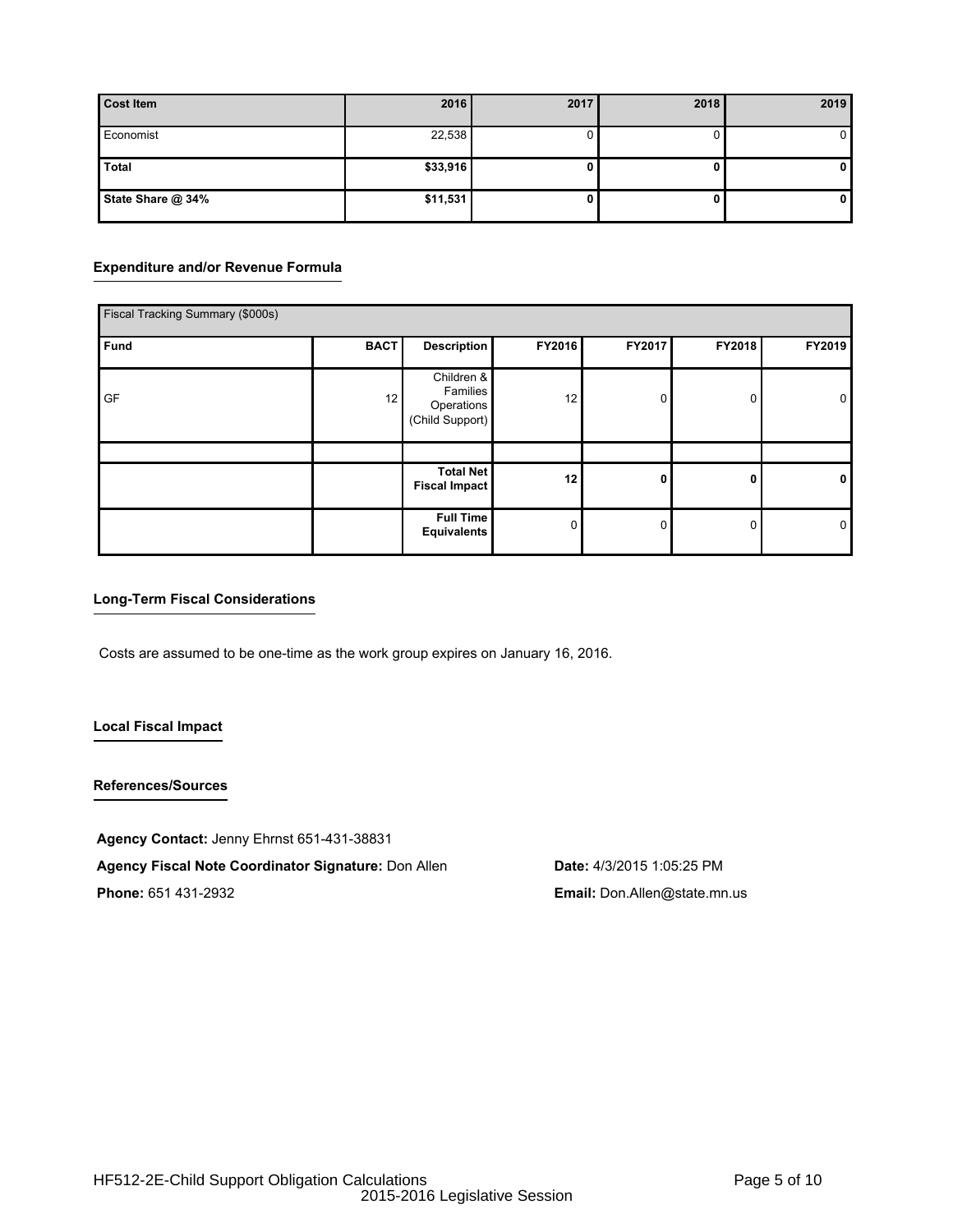| <b>Cost Item</b>  | 2016     | 2017 | 2018 | 2019         |
|-------------------|----------|------|------|--------------|
| Economist         | 22,538   |      |      | $\mathbf{0}$ |
| <b>Total</b>      | \$33,916 |      |      | $\mathbf{0}$ |
| State Share @ 34% | \$11,531 |      | U.   | 0            |

# **Expenditure and/or Revenue Formula**

| Fiscal Tracking Summary (\$000s) |             |                                                         |          |        |              |             |
|----------------------------------|-------------|---------------------------------------------------------|----------|--------|--------------|-------------|
| Fund                             | <b>BACT</b> | <b>Description</b>                                      | FY2016   | FY2017 | FY2018       | FY2019      |
| <b>GF</b>                        | 12          | Children &<br>Families<br>Operations<br>(Child Support) | 12       | 0      | $\mathbf{0}$ | 0           |
|                                  |             | <b>Total Net</b>                                        |          |        |              |             |
|                                  |             | <b>Fiscal Impact</b>                                    | 12       | 0      | 0            | $\mathbf 0$ |
|                                  |             | <b>Full Time</b><br>Equivalents                         | $\Omega$ | 0      | 0            | 0           |

# **Long-Term Fiscal Considerations**

Costs are assumed to be one-time as the work group expires on January 16, 2016.

# **Local Fiscal Impact**

# **References/Sources**

**Agency Contact:** Jenny Ehrnst 651-431-38831

**Agency Fiscal Note Coordinator Signature:** Don Allen **Date:** 4/3/2015 1:05:25 PM

**Phone:** 651 431-2932 **Email:** Don.Allen@state.mn.us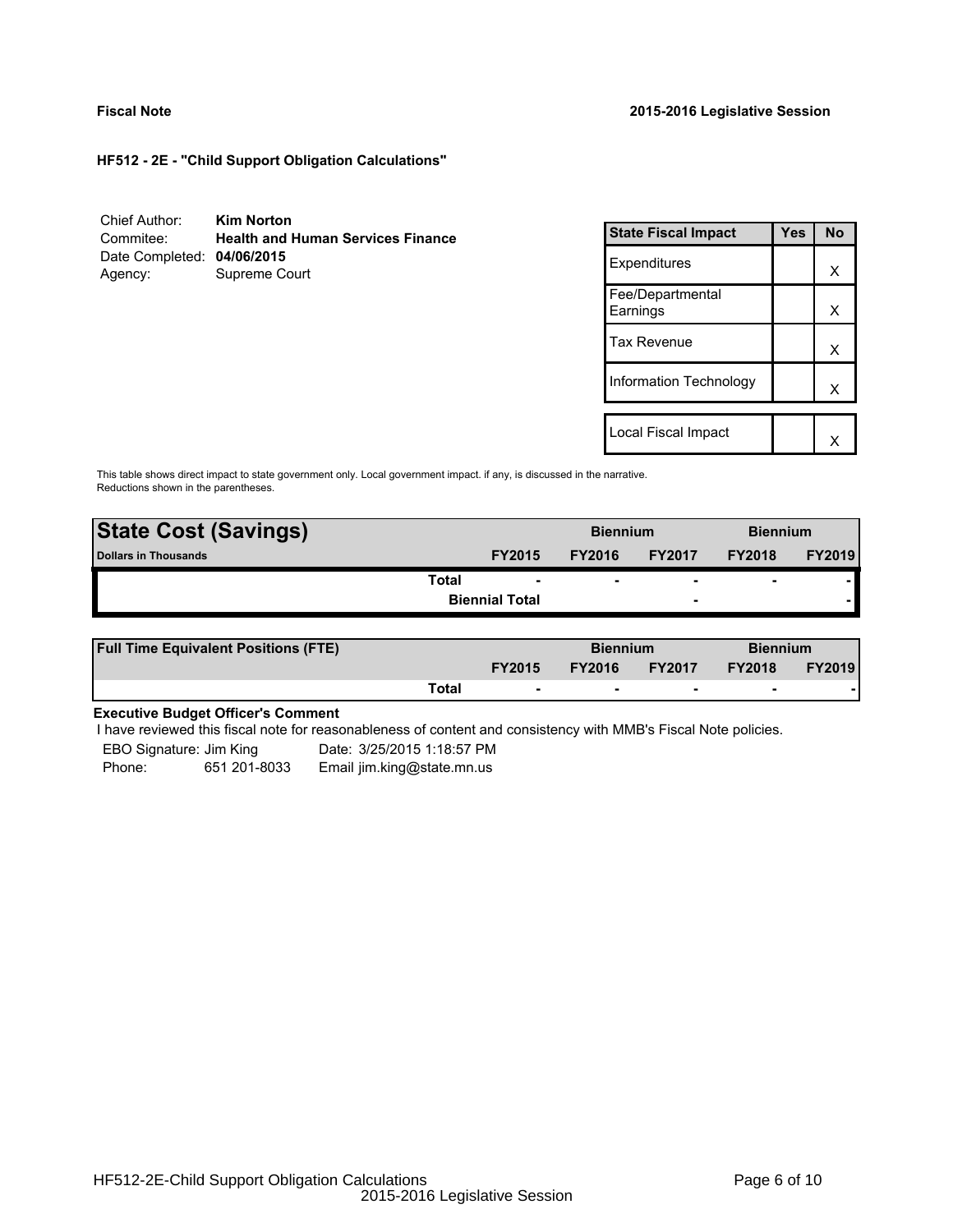# **Fiscal Note 2015-2016 Legislative Session**

**HF512 - 2E - "Child Support Obligation Calculations"**

| Chief Author:              | <b>Kim Norton</b>                        |
|----------------------------|------------------------------------------|
| Commitee:                  | <b>Health and Human Services Finance</b> |
| Date Completed: 04/06/2015 |                                          |
| Agency:                    | Supreme Court                            |

| <b>State Fiscal Impact</b>   | Yes | <b>No</b> |
|------------------------------|-----|-----------|
| Expenditures                 |     | x         |
| Fee/Departmental<br>Earnings |     | х         |
| Tax Revenue                  |     | x         |
| Information Technology       |     | x         |
|                              |     |           |
| Local Fiscal Impact          |     |           |

This table shows direct impact to state government only. Local government impact. if any, is discussed in the narrative. Reductions shown in the parentheses.

| <b>State Cost (Savings)</b> |                       | <b>Biennium</b> |                          | <b>Biennium</b>          |               |
|-----------------------------|-----------------------|-----------------|--------------------------|--------------------------|---------------|
| <b>Dollars in Thousands</b> | <b>FY2015</b>         | <b>FY2016</b>   | <b>FY2017</b>            | <b>FY2018</b>            | <b>FY2019</b> |
| Total                       | ۰                     | ۰               | $\overline{\phantom{0}}$ | $\overline{\phantom{0}}$ |               |
|                             | <b>Biennial Total</b> |                 | $\overline{\phantom{a}}$ |                          |               |
|                             |                       |                 |                          |                          |               |

| <b>Full Time Equivalent Positions (FTE)</b> |       |                          | <b>Biennium</b> |                          | <b>Biennium</b> |               |
|---------------------------------------------|-------|--------------------------|-----------------|--------------------------|-----------------|---------------|
|                                             |       | <b>FY2015</b>            | <b>FY2016</b>   | <b>FY2017</b>            | <b>FY2018</b>   | <b>FY2019</b> |
|                                             | Total | $\overline{\phantom{a}}$ | $\sim$          | $\overline{\phantom{a}}$ | $\sim$          |               |

# **Executive Budget Officer's Comment**

I have reviewed this fiscal note for reasonableness of content and consistency with MMB's Fiscal Note policies.

| EBO Signature: Jim King |              | Date: 3/25/2015 1:18:57 PM |
|-------------------------|--------------|----------------------------|
| Phone:                  | 651 201-8033 | Email jim.king@state.mn.us |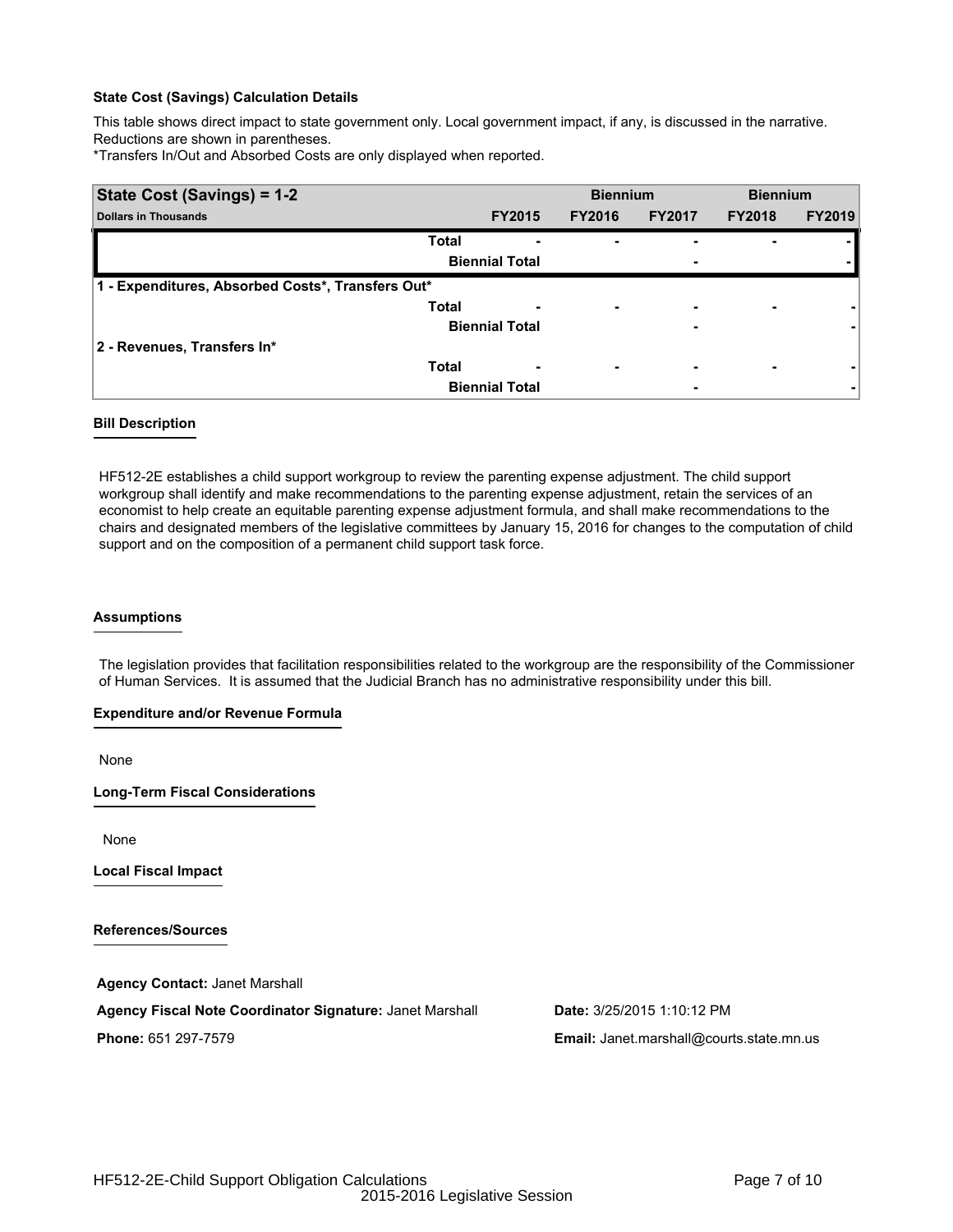This table shows direct impact to state government only. Local government impact, if any, is discussed in the narrative. Reductions are shown in parentheses.

\*Transfers In/Out and Absorbed Costs are only displayed when reported.

| State Cost (Savings) = 1-2                        |                       | <b>Biennium</b>               |               | <b>Biennium</b> |               |
|---------------------------------------------------|-----------------------|-------------------------------|---------------|-----------------|---------------|
| <b>Dollars in Thousands</b>                       | <b>FY2015</b>         | <b>FY2016</b>                 | <b>FY2017</b> | <b>FY2018</b>   | <b>FY2019</b> |
| <b>Total</b>                                      |                       | -<br>۰                        |               |                 |               |
|                                                   | <b>Biennial Total</b> |                               | ٠             |                 |               |
| 1 - Expenditures, Absorbed Costs*, Transfers Out* |                       |                               |               |                 |               |
| <b>Total</b>                                      |                       | ۰                             | -             |                 |               |
|                                                   | <b>Biennial Total</b> |                               | ۰             |                 |               |
| 2 - Revenues, Transfers In*                       |                       |                               |               |                 |               |
| <b>Total</b>                                      |                       | ٠<br>$\overline{\phantom{0}}$ | ٠             | ۰               |               |
|                                                   | <b>Biennial Total</b> |                               |               |                 |               |

## **Bill Description**

HF512-2E establishes a child support workgroup to review the parenting expense adjustment. The child support workgroup shall identify and make recommendations to the parenting expense adjustment, retain the services of an economist to help create an equitable parenting expense adjustment formula, and shall make recommendations to the chairs and designated members of the legislative committees by January 15, 2016 for changes to the computation of child support and on the composition of a permanent child support task force.

# **Assumptions**

The legislation provides that facilitation responsibilities related to the workgroup are the responsibility of the Commissioner of Human Services. It is assumed that the Judicial Branch has no administrative responsibility under this bill.

### **Expenditure and/or Revenue Formula**

None

**Long-Term Fiscal Considerations**

None

**Local Fiscal Impact**

**References/Sources**

**Agency Contact:** Janet Marshall

**Agency Fiscal Note Coordinator Signature:** Janet Marshall **Date:** 3/25/2015 1:10:12 PM

**Phone:** 651 297-7579 **Email:** Janet.marshall@courts.state.mn.us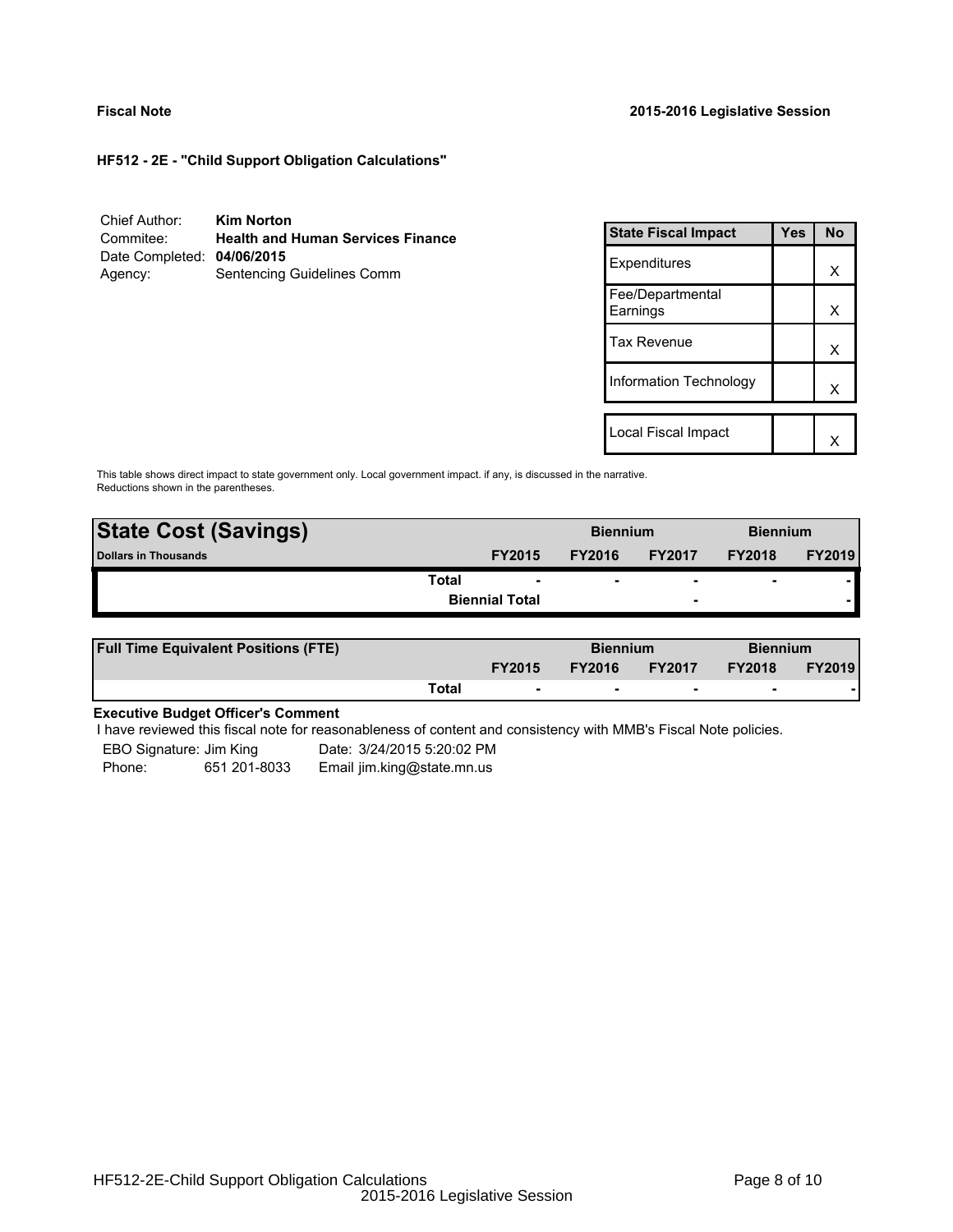**HF512 - 2E - "Child Support Obligation Calculations"**

| Chief Author:              | <b>Kim Norton</b>                        |
|----------------------------|------------------------------------------|
| Commitee:                  | <b>Health and Human Services Finance</b> |
| Date Completed: 04/06/2015 |                                          |
| Agency:                    | Sentencing Guidelines Comm               |

| <b>State Fiscal Impact</b>   | Yes | <b>No</b> |
|------------------------------|-----|-----------|
| Expenditures                 |     | х         |
| Fee/Departmental<br>Earnings |     | x         |
| <b>Tax Revenue</b>           |     | х         |
| Information Technology       |     | x         |
| Local Fiscal Impact          |     |           |
|                              |     |           |

This table shows direct impact to state government only. Local government impact. if any, is discussed in the narrative. Reductions shown in the parentheses.

| <b>State Cost (Savings)</b> |                       | <b>Biennium</b> |                          | <b>Biennium</b>          |               |
|-----------------------------|-----------------------|-----------------|--------------------------|--------------------------|---------------|
| <b>Dollars in Thousands</b> | <b>FY2015</b>         | <b>FY2016</b>   | <b>FY2017</b>            | <b>FY2018</b>            | <b>FY2019</b> |
| Total                       | $\sim$                |                 | $\overline{\phantom{0}}$ | $\overline{\phantom{0}}$ |               |
|                             | <b>Biennial Total</b> |                 | $\overline{\phantom{a}}$ |                          |               |
|                             |                       |                 |                          |                          |               |

| <b>Full Time Equivalent Positions (FTE)</b> |       |                          | <b>Biennium</b> |               | <b>Biennium</b> |               |
|---------------------------------------------|-------|--------------------------|-----------------|---------------|-----------------|---------------|
|                                             |       | <b>FY2015</b>            | <b>FY2016</b>   | <b>FY2017</b> | <b>FY2018</b>   | <b>FY2019</b> |
|                                             | Total | $\overline{\phantom{a}}$ |                 | . .           |                 |               |

# **Executive Budget Officer's Comment**

I have reviewed this fiscal note for reasonableness of content and consistency with MMB's Fiscal Note policies.

| EBO Signature: Jim King |              | Date: 3/24/2015 5:20:02 PM |
|-------------------------|--------------|----------------------------|
| Phone:                  | 651 201-8033 | Email jim.king@state.mn.us |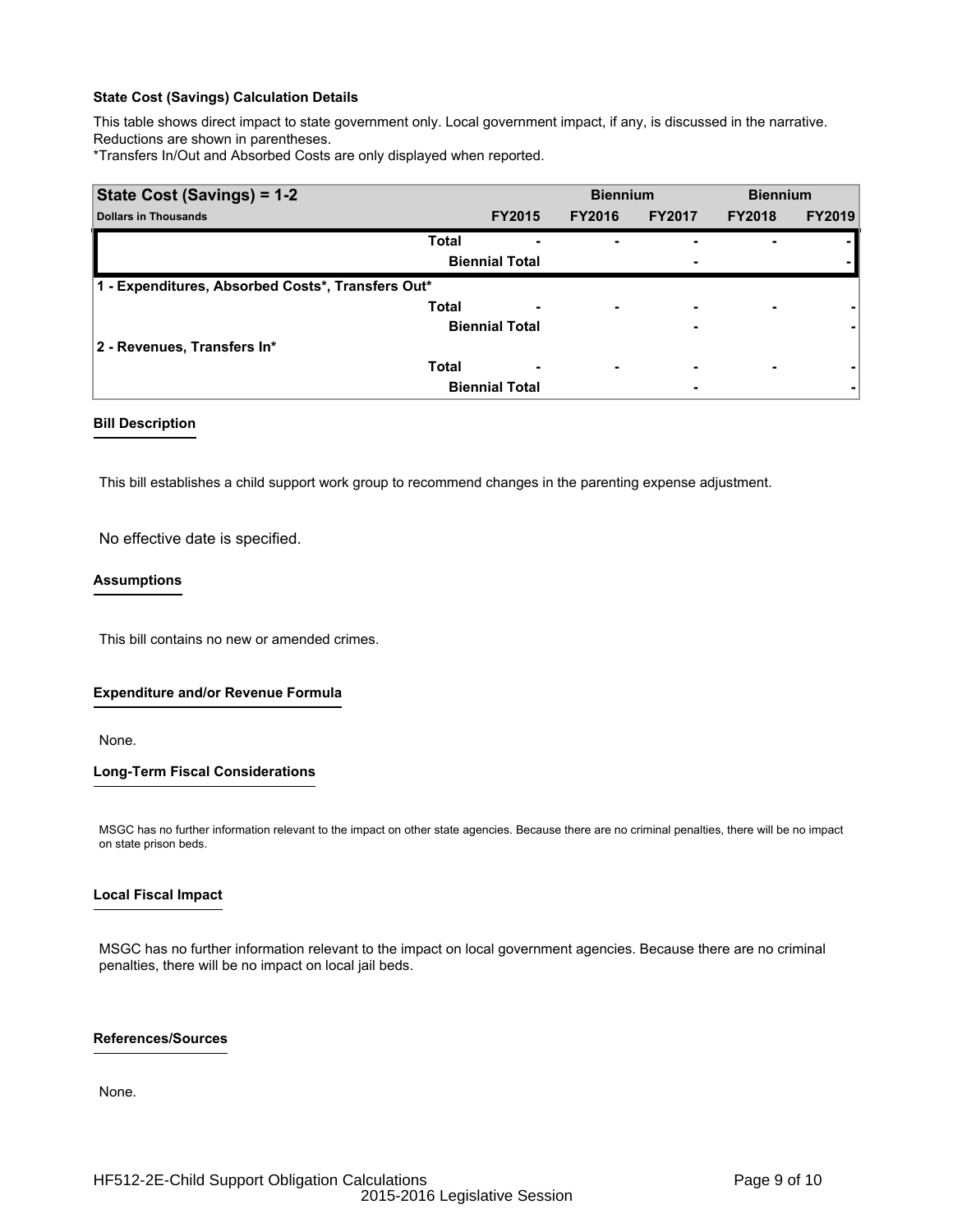This table shows direct impact to state government only. Local government impact, if any, is discussed in the narrative. Reductions are shown in parentheses.

\*Transfers In/Out and Absorbed Costs are only displayed when reported.

| State Cost (Savings) = 1-2                        |                       |               | <b>Biennium</b>          |               | <b>Biennium</b> |               |
|---------------------------------------------------|-----------------------|---------------|--------------------------|---------------|-----------------|---------------|
| <b>Dollars in Thousands</b>                       |                       | <b>FY2015</b> | <b>FY2016</b>            | <b>FY2017</b> | <b>FY2018</b>   | <b>FY2019</b> |
|                                                   | <b>Total</b>          |               | ۰                        |               |                 |               |
|                                                   | <b>Biennial Total</b> |               |                          | ٠             |                 |               |
| 1 - Expenditures, Absorbed Costs*, Transfers Out* |                       |               |                          |               |                 |               |
|                                                   | <b>Total</b>          |               | $\overline{\phantom{0}}$ | -             |                 |               |
|                                                   | <b>Biennial Total</b> |               |                          | -             |                 |               |
| 2 - Revenues, Transfers In*                       |                       |               |                          |               |                 |               |
|                                                   | <b>Total</b>          |               | $\overline{\phantom{0}}$ | ٠             |                 |               |
|                                                   | <b>Biennial Total</b> |               |                          | ۰             |                 |               |

### **Bill Description**

This bill establishes a child support work group to recommend changes in the parenting expense adjustment.

No effective date is specified.

### **Assumptions**

This bill contains no new or amended crimes.

## **Expenditure and/or Revenue Formula**

None.

### **Long-Term Fiscal Considerations**

MSGC has no further information relevant to the impact on other state agencies. Because there are no criminal penalties, there will be no impact on state prison beds.

### **Local Fiscal Impact**

MSGC has no further information relevant to the impact on local government agencies. Because there are no criminal penalties, there will be no impact on local jail beds.

### **References/Sources**

None.